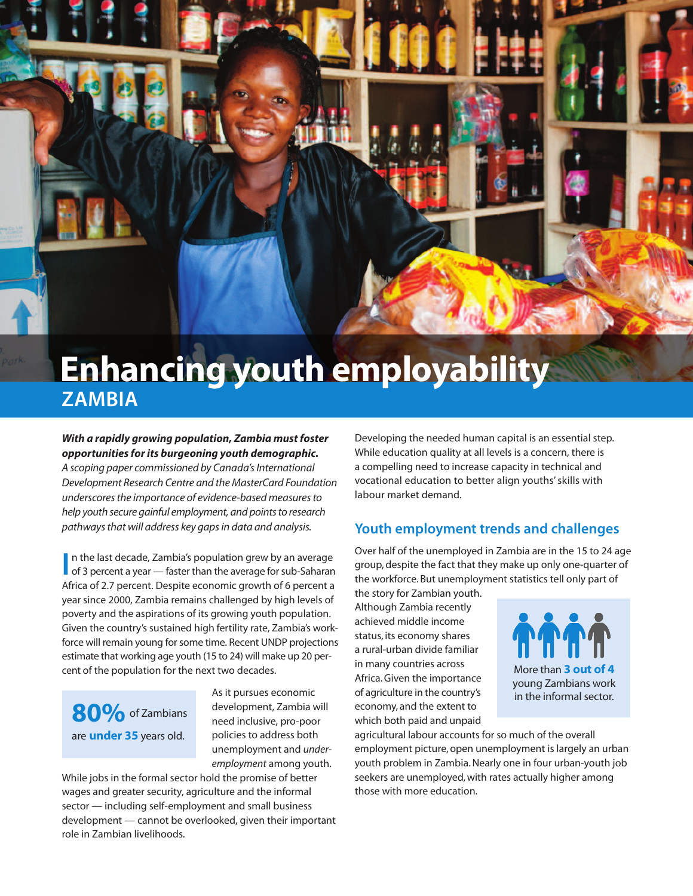

# **ZAMBIA**

#### *With a rapidly growing population, Zambia must foster opportunities forits burgeoning youth demographic.*

*A scoping paper commissioned by Canada'sInternational Development Research Centre and the MasterCard Foundation underscoresthe importance of evidence-based measuresto help youth secure gainful employment, and pointsto research pathwaysthat will address key gapsin data and analysis.*

In the last decade, Zambia's population grew by an average<br>of 3 percent a year — faster than the average for sub-Saharan n the last decade, Zambia's population grew by an average Africa of 2.7 percent. Despite economic growth of 6 percent a year since 2000, Zambia remains challenged by high levels of poverty and the aspirations of its growing youth population. Given the country's sustained high fertility rate, Zambia's workforce will remain young for some time. Recent UNDP projections estimate that working age youth (15 to 24) will make up 20 percent of the population for the next two decades.

80% of Zambians are **under 35** years old.

As it pursues economic development, Zambia will need inclusive, pro-poor policies to address both unemployment and *underemployment* among youth.

While jobs in the formal sector hold the promise of better wages and greater security, agriculture and the informal sector — including self-employment and small business development — cannot be overlooked, given their important role in Zambian livelihoods.

Developing the needed human capital is an essential step. While education quality at all levels is a concern, there is a compelling need to increase capacity in technical and vocational education to better align youths'skills with labour market demand.

## **Youth employment trends and challenges**

Over half of the unemployed in Zambia are in the 15 to 24 age group, despite the fact that they make up only one-quarter of the workforce. But unemployment statistics tell only part of

the story for Zambian youth. Although Zambia recently achieved middle income status, its economy shares a rural-urban divide familiar in many countries across Africa.Given the importance of agriculture in the country's economy, and the extent to which both paid and unpaid



agricultural labour accounts for so much of the overall employment picture, open unemployment is largely an urban youth problem in Zambia. Nearly one in four urban-youth job seekers are unemployed, with rates actually higher among those with more education.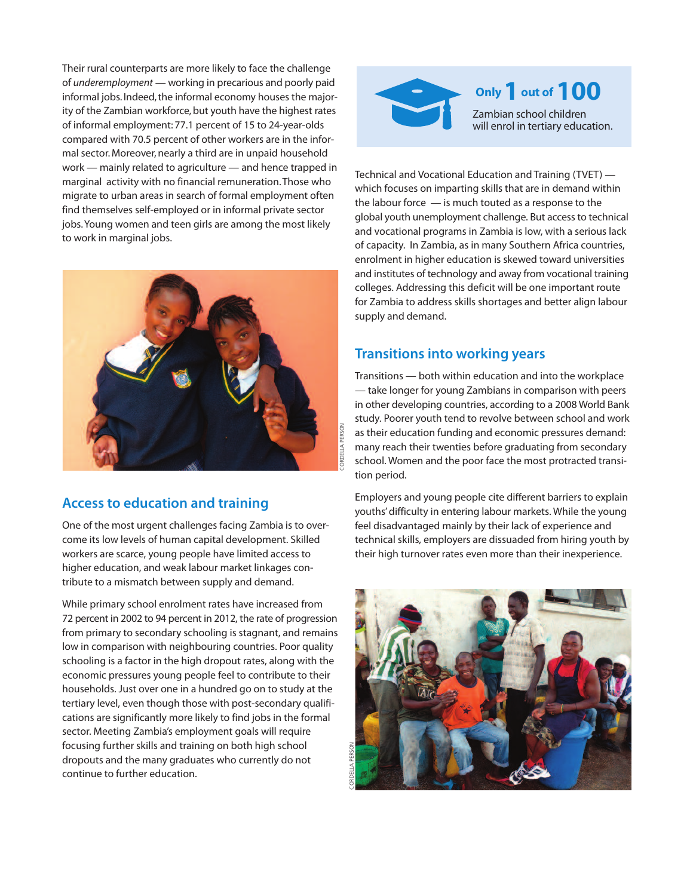Their rural counterparts are more likely to face the challenge of *underemployment* — working in precarious and poorly paid informal jobs. Indeed, the informal economy houses the majority of the Zambian workforce, but youth have the highest rates of informal employment: 77.1 percent of 15 to 24-year-olds compared with 70.5 percent of other workers are in the informal sector. Moreover, nearly a third are in unpaid household work — mainly related to agriculture — and hence trapped in marginal activity with no financial remuneration.Those who migrate to urban areas in search of formal employment often find themselves self-employed or in informal private sector jobs.Young women and teen girls are among the most likely to work in marginal jobs.



#### **Access to education and training**

One of the most urgent challenges facing Zambia is to overcome its low levels of human capital development. Skilled workers are scarce, young people have limited access to higher education, and weak labour market linkages contribute to a mismatch between supply and demand.

While primary school enrolment rates have increased from 72 percent in 2002 to 94 percent in 2012, the rate of progression from primary to secondary schooling is stagnant, and remains low in comparison with neighbouring countries. Poor quality schooling is a factor in the high dropout rates, along with the economic pressures young people feel to contribute to their households. Just over one in a hundred go on to study at the tertiary level, even though those with post-secondary qualifications are significantly more likely to find jobs in the formal sector. Meeting Zambia's employment goals will require focusing further skills and training on both high school dropouts and the many graduates who currently do not continue to further education.



Technical and Vocational Education and Training (TVET) which focuses on imparting skills that are in demand within the labour force — is much touted as a response to the global youth unemployment challenge. But access to technical and vocational programs in Zambia is low, with a serious lack of capacity. In Zambia, as in many Southern Africa countries, enrolment in higher education is skewed toward universities and institutes of technology and away from vocational training colleges. Addressing this deficit will be one important route for Zambia to address skills shortages and better align labour supply and demand.

#### **Transitions into working years**

Transitions — both within education and into the workplace — take longer for young Zambians in comparison with peers in other developing countries, according to a 2008 World Bank study. Poorer youth tend to revolve between school and work as their education funding and economic pressures demand: many reach their twenties before graduating from secondary school. Women and the poor face the most protracted transition period.

Employers and young people cite different barriers to explain youths'difficulty in entering labour markets. While the young feel disadvantaged mainly by their lack of experience and technical skills, employers are dissuaded from hiring youth by their high turnover rates even more than their inexperience.

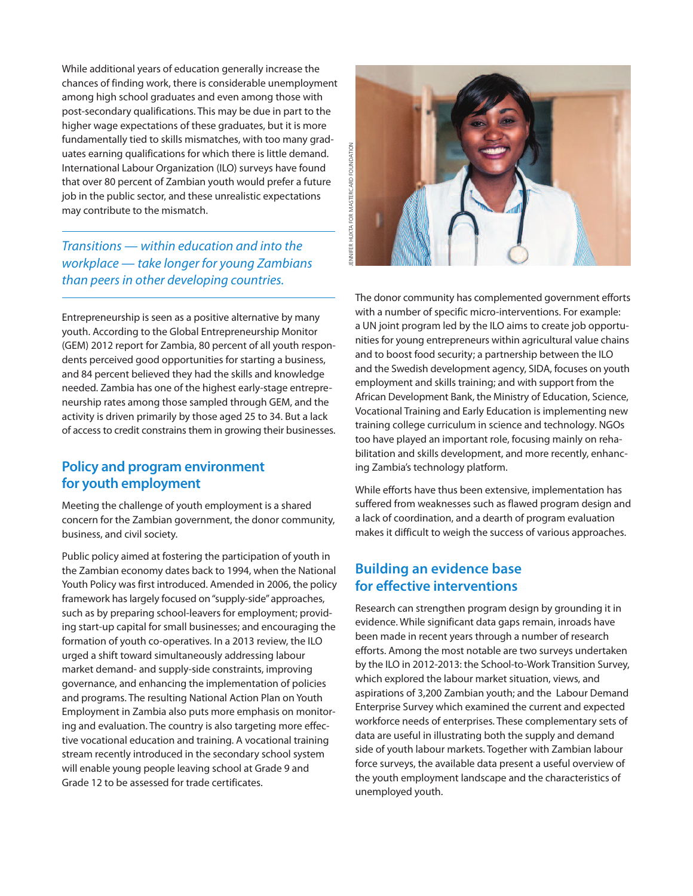While additional years of education generally increase the chances of finding work, there is considerable unemployment among high school graduates and even among those with post-secondary qualifications. This may be due in part to the higher wage expectations of these graduates, but it is more fundamentally tied to skills mismatches, with too many graduates earning qualifications for which there is little demand. International Labour Organization (ILO) surveys have found that over 80 percent of Zambian youth would prefer a future job in the public sector, and these unrealistic expectations may contribute to the mismatch.

*Transitions — within education and into the workplace — take longer for young Zambians than peers in other developing countries.*

Entrepreneurship is seen as a positive alternative by many youth. According to the Global Entrepreneurship Monitor (GEM) 2012 report for Zambia, 80 percent of all youth respondents perceived good opportunities for starting a business, and 84 percent believed they had the skills and knowledge needed. Zambia has one of the highest early-stage entrepreneurship rates among those sampled through GEM, and the activity is driven primarily by those aged 25 to 34. But a lack of access to credit constrains them in growing their businesses.

#### **Policy and program environment for youth employment**

Meeting the challenge of youth employment is a shared concern for the Zambian government, the donor community, business, and civil society.

Public policy aimed at fostering the participation of youth in the Zambian economy dates back to 1994, when the National Youth Policy was first introduced. Amended in 2006, the policy framework has largely focused on"supply-side"approaches, such as by preparing school-leavers for employment; providing start-up capital for small businesses; and encouraging the formation of youth co-operatives. In a 2013 review, the ILO urged a shift toward simultaneously addressing labour market demand- and supply-side constraints, improving governance, and enhancing the implementation of policies and programs. The resulting National Action Plan on Youth Employment in Zambia also puts more emphasis on monitoring and evaluation. The country is also targeting more effective vocational education and training. A vocational training stream recently introduced in the secondary school system will enable young people leaving school at Grade 9 and Grade 12 to be assessed for trade certificates.



The donor community has complemented government efforts with a number of specific micro-interventions. For example: a UN joint program led by the ILO aims to create job opportunities for young entrepreneurs within agricultural value chains and to boost food security; a partnership between the ILO and the Swedish development agency, SIDA, focuses on youth employment and skills training; and with support from the African Development Bank, the Ministry of Education, Science, Vocational Training and Early Education is implementing new training college curriculum in science and technology. NGOs too have played an important role, focusing mainly on rehabilitation and skills development, and more recently, enhancing Zambia's technology platform.

While efforts have thus been extensive, implementation has suffered from weaknesses such as flawed program design and a lack of coordination, and a dearth of program evaluation makes it difficult to weigh the success of various approaches.

## **Building an evidence base for effective interventions**

Research can strengthen program design by grounding it in evidence. While significant data gaps remain, inroads have been made in recent years through a number of research efforts. Among the most notable are two surveys undertaken by the ILO in 2012-2013: the School-to-Work Transition Survey, which explored the labour market situation, views, and aspirations of 3,200 Zambian youth; and the Labour Demand Enterprise Survey which examined the current and expected workforce needs of enterprises. These complementary sets of data are useful in illustrating both the supply and demand side of youth labour markets. Together with Zambian labour force surveys, the available data present a useful overview of the youth employment landscape and the characteristics of unemployed youth.